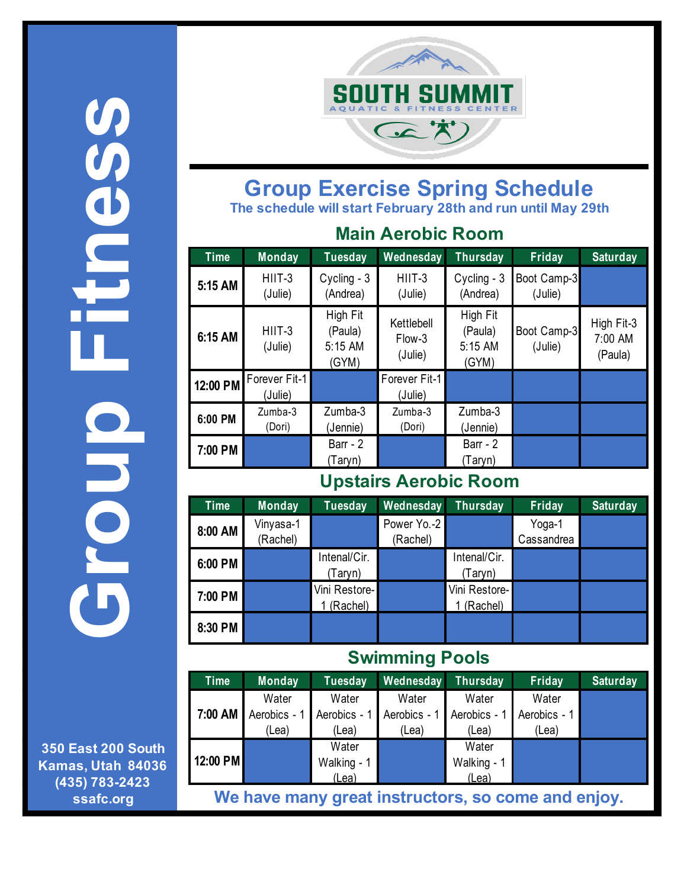**Group Fitness COONT** alded<br>S

**350 East 200 South Kamas, Utah 84036 (435) 783-2423 ssafc.org**



### **Group Exercise Spring Schedule The schedule will start February 28th and run until May 29th**

#### **Main Aerobic Room**

| <b>Time</b> | <b>Monday</b>            | <b>Tuesday</b>                          | Wednesday                       | <b>Thursday</b>                         | Friday                 | <b>Saturday</b>                  |
|-------------|--------------------------|-----------------------------------------|---------------------------------|-----------------------------------------|------------------------|----------------------------------|
| 5:15 AM     | $HIIT-3$<br>(Julie)      | Cycling - 3<br>(Andrea)                 | $HIIT-3$<br>(Julie)             | Cycling - 3<br>(Andrea)                 | Boot Camp-3<br>(Julie) |                                  |
| 6:15 AM     | $HIIT-3$<br>(Julie)      | High Fit<br>(Paula)<br>5:15 AM<br>(GYM) | Kettlebell<br>Flow-3<br>(Julie) | High Fit<br>(Paula)<br>5:15 AM<br>(GYM) | Boot Camp-3<br>(Julie) | High Fit-3<br>7:00 AM<br>(Paula) |
| 12:00 PM    | Forever Fit-1<br>(Julie) |                                         | Forever Fit-1<br>(Julie)        |                                         |                        |                                  |
| 6:00 PM     | Zumba-3<br>(Dori)        | Zumba-3<br>(Jennie)                     | Zumba-3<br>(Dori)               | Zumba-3<br>(Jennie)                     |                        |                                  |
| 7:00 PM     |                          | Barr - $2$<br>(Taryn)                   |                                 | Barr - $2$<br>(Taryn)                   |                        |                                  |

## **Upstairs Aerobic Room**

| <b>Time</b> | <b>Monday</b>         | <b>Tuesday</b>            | Wednesday               | <b>Thursday</b>           | Friday               | <b>Saturday</b> |
|-------------|-----------------------|---------------------------|-------------------------|---------------------------|----------------------|-----------------|
| 8:00 AM     | Vinyasa-1<br>(Rachel) |                           | Power Yo.-2<br>(Rachel) |                           | Yoga-1<br>Cassandrea |                 |
| 6:00 PM     |                       | Intenal/Cir.<br>Taryn)    |                         | Intenal/Cir.<br>(Taryn)   |                      |                 |
| 7:00 PM     |                       | Vini Restore-<br>(Rachel) |                         | Vini Restore-<br>(Rachel) |                      |                 |
| 8:30 PM     |                       |                           |                         |                           |                      |                 |

## **Swimming Pools**

| <b>Time</b>                                        | <b>Monday</b> | <b>Tuesday</b> | Wednesday    | Thursday     | Friday       | <b>Saturday</b> |
|----------------------------------------------------|---------------|----------------|--------------|--------------|--------------|-----------------|
|                                                    | Water         | Water          | Water        | Water        | Water        |                 |
| 7:00 AM                                            | Aerobics - 1  | Aerobics - 1   | Aerobics - 1 | Aerobics - 1 | Aerobics - 1 |                 |
|                                                    | (Lea)         | (Lea)          | (Lea)        | (Lea)        | (Lea)        |                 |
|                                                    |               | Water          |              | Water        |              |                 |
| 12:00 PM                                           |               | Walking - 1    |              | Walking - 1  |              |                 |
|                                                    |               | (Lean)         |              | (Lea)        |              |                 |
| We have many great instructors, so come and enjoy. |               |                |              |              |              |                 |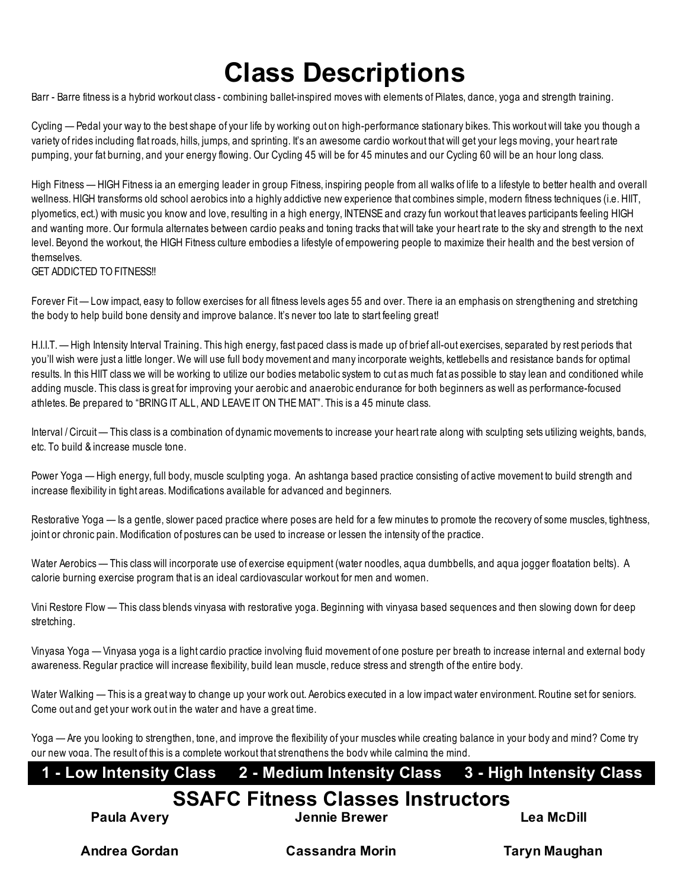# **Class Descriptions**

Barr - Barre fitness is a hybrid workout class - combining ballet-inspired moves with elements of Pilates, dance, yoga and strength training.

Cycling — Pedal your way to the best shape of your life by working out on high-performance stationary bikes. This workout will take you though a variety of rides including flat roads, hills, jumps, and sprinting. It's an awesome cardio workout that will get your legs moving, your heart rate pumping, your fat burning, and your energy flowing. Our Cycling 45 will be for 45 minutes and our Cycling 60 will be an hour long class.

High Fitness — HIGH Fitness ia an emerging leader in group Fitness, inspiring people from all walks of life to a lifestyle to better health and overall wellness. HIGH transforms old school aerobics into a highly addictive new experience that combines simple, modern fitness techniques (i.e. HIIT, plyometics, ect.) with music you know and love, resulting in a high energy, INTENSE and crazy fun workout that leaves participants feeling HIGH and wanting more. Our formula alternates between cardio peaks and toning tracks that will take your heart rate to the sky and strength to the next level. Beyond the workout, the HIGH Fitness culture embodies a lifestyle of empowering people to maximize their health and the best version of themselves.

**GET ADDICTED TO FITNESS!!** 

Forever Fit — Low impact, easy to follow exercises for all fitness levels ages 55 and over. There ia an emphasis on strengthening and stretching the body to help build bone density and improve balance. It's never too late to start feeling great!

H.I.I.T. — High Intensity Interval Training. This high energy, fast paced class is made up of brief all-out exercises, separated by rest periods that you'll wish were just a little longer. We will use full body movement and many incorporate weights, kettlebells and resistance bands for optimal results. In this HIIT class we will be working to utilize our bodies metabolic system to cut as much fat as possible to stay lean and conditioned while adding muscle. This class is great for improving your aerobic and anaerobic endurance for both beginners as well as performance-focused athletes. Be prepared to "BRING IT ALL, AND LEAVE IT ON THE MAT". This is a 45 minute class.

Interval / Circuit — This class is a combination of dynamic movements to increase your heart rate along with sculpting sets utilizing weights, bands, etc. To build & increase muscle tone.

Power Yoga — High energy, full body, muscle sculpting yoga. An ashtanga based practice consisting of active movement to build strength and increase flexibility in tight areas. Modifications available for advanced and beginners.

Restorative Yoga — Is a gentle, slower paced practice where poses are held for a few minutes to promote the recovery of some muscles, tightness, joint or chronic pain. Modification of postures can be used to increase or lessen the intensity of the practice.

Water Aerobics — This class will incorporate use of exercise equipment (water noodles, aqua dumbbells, and aqua jogger floatation belts). A calorie burning exercise program that is an ideal cardiovascular workout for men and women.

Vini Restore Flow — This class blends vinyasa with restorative yoga. Beginning with vinyasa based sequences and then slowing down for deep stretching.

Vinyasa Yoga — Vinyasa yoga is a light cardio practice involving fluid movement of one posture per breath to increase internal and external body awareness. Regular practice will increase flexibility, build lean muscle, reduce stress and strength of the entire body.

Water Walking — This is a great way to change up your work out. Aerobics executed in a low impact water environment. Routine set for seniors. Come out and get your work out in the water and have a great time.

Yoga — Are you looking to strengthen, tone, and improve the flexibility of your muscles while creating balance in your body and mind? Come try our new yoga. The result of this is a complete workout that strengthens the body while calming the mind.

#### **1 - Low Intensity Class 2 - Medium Intensity Class 3 - High Intensity Class**

## **SSAFC Fitness Classes Instructors**

**Paula Avery**

**Jennie Brewer**

**Lea McDill**

**Andrea Gordan**

**Cassandra Morin**

**Taryn Maughan**